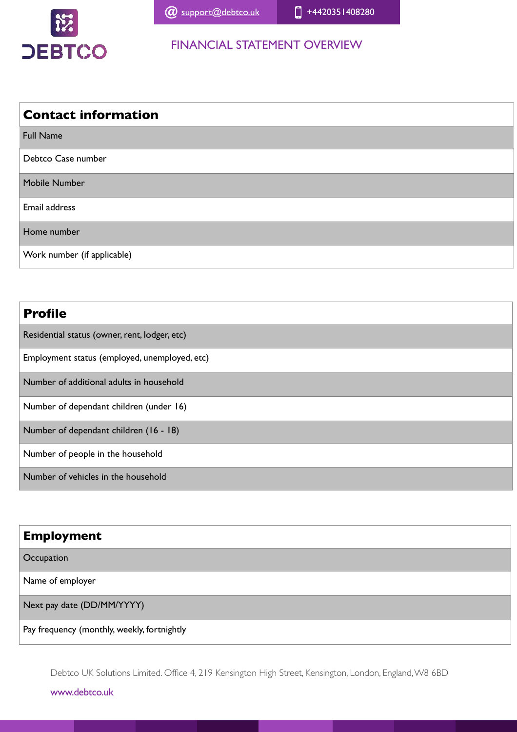

| <b>Contact information</b>  |
|-----------------------------|
| <b>Full Name</b>            |
| Debtco Case number          |
| Mobile Number               |
| Email address               |
| Home number                 |
| Work number (if applicable) |

# **Profile** Residential status (owner, rent, lodger, etc) Employment status (employed, unemployed, etc) Number of additional adults in household Number of dependant children (under 16) Number of dependant children (16 - 18) Number of people in the household Number of vehicles in the household

| <b>Employment</b>                           |
|---------------------------------------------|
| Occupation                                  |
| Name of employer                            |
| Next pay date (DD/MM/YYYY)                  |
| Pay frequency (monthly, weekly, fortnightly |

Debtco UK Solutions Limited. Office 4, 219 Kensington High Street, Kensington, London, England, W8 6BD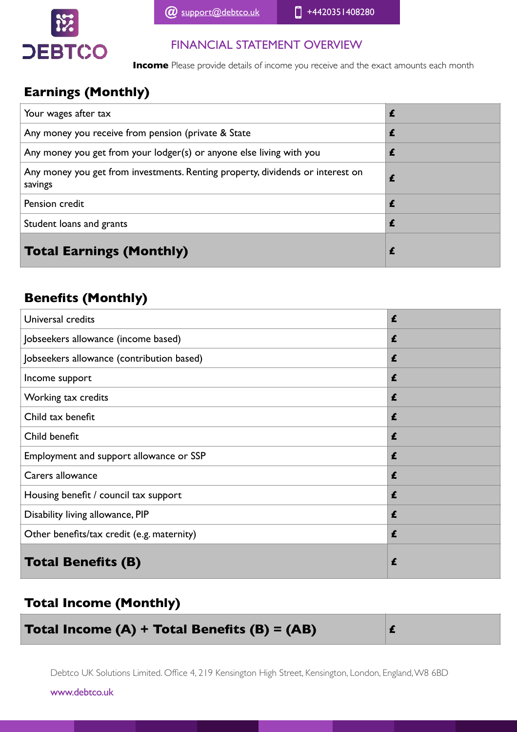

**Income** Please provide details of income you receive and the exact amounts each month

# **Earnings (Monthly)**

| Your wages after tax                                                                      | £ |
|-------------------------------------------------------------------------------------------|---|
| Any money you receive from pension (private & State                                       | £ |
| Any money you get from your lodger(s) or anyone else living with you                      | £ |
| Any money you get from investments. Renting property, dividends or interest on<br>savings | £ |
| Pension credit                                                                            | £ |
| Student loans and grants                                                                  | £ |
| <b>Total Earnings (Monthly)</b>                                                           |   |

# **Benefits (Monthly)**

| Universal credits                          | £ |
|--------------------------------------------|---|
| Jobseekers allowance (income based)        | £ |
| Jobseekers allowance (contribution based)  | £ |
| Income support                             | £ |
| Working tax credits                        | £ |
| Child tax benefit                          | £ |
| Child benefit                              | £ |
| Employment and support allowance or SSP    | £ |
| Carers allowance                           | £ |
| Housing benefit / council tax support      | £ |
| Disability living allowance, PIP           | £ |
| Other benefits/tax credit (e.g. maternity) | £ |
| <b>Total Benefits (B)</b>                  | £ |

# **Total Income (Monthly)**

| Total Income $(A)$ + Total Benefits $(B)$ = $(AB)$ |  |  |  |  |
|----------------------------------------------------|--|--|--|--|
|                                                    |  |  |  |  |

Debtco UK Solutions Limited. Office 4, 219 Kensington High Street, Kensington, London, England, W8 6BD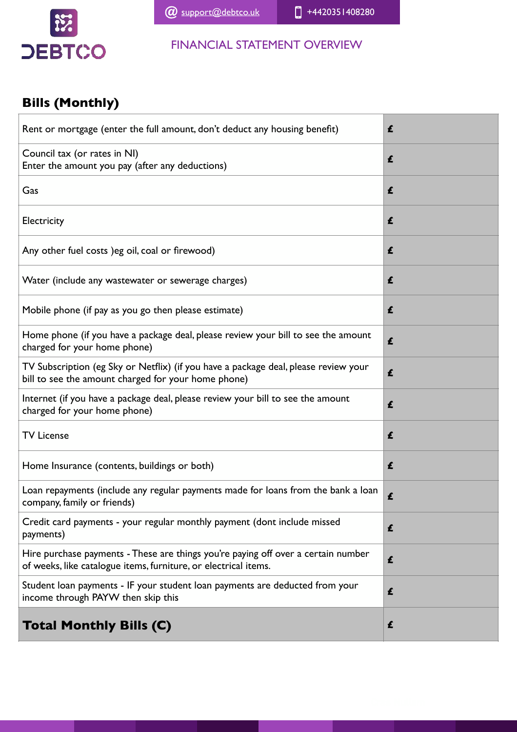

# **Bills (Monthly)**

| Rent or mortgage (enter the full amount, don't deduct any housing benefit)                                                                           | £ |
|------------------------------------------------------------------------------------------------------------------------------------------------------|---|
| Council tax (or rates in NI)<br>Enter the amount you pay (after any deductions)                                                                      | £ |
| Gas                                                                                                                                                  | £ |
| Electricity                                                                                                                                          | £ |
| Any other fuel costs ) eg oil, coal or firewood)                                                                                                     | £ |
| Water (include any wastewater or sewerage charges)                                                                                                   | £ |
| Mobile phone (if pay as you go then please estimate)                                                                                                 | £ |
| Home phone (if you have a package deal, please review your bill to see the amount<br>charged for your home phone)                                    | £ |
| TV Subscription (eg Sky or Netflix) (if you have a package deal, please review your<br>bill to see the amount charged for your home phone)           | £ |
| Internet (if you have a package deal, please review your bill to see the amount<br>charged for your home phone)                                      | £ |
| <b>TV License</b>                                                                                                                                    | £ |
| Home Insurance (contents, buildings or both)                                                                                                         | £ |
| Loan repayments (include any regular payments made for loans from the bank a loan<br>company, family or friends)                                     | £ |
| Credit card payments - your regular monthly payment (dont include missed<br>payments)                                                                | £ |
| Hire purchase payments - These are things you're paying off over a certain number<br>of weeks, like catalogue items, furniture, or electrical items. | £ |
| Student loan payments - IF your student loan payments are deducted from your<br>income through PAYW then skip this                                   | £ |
| <b>Total Monthly Bills (C)</b>                                                                                                                       | £ |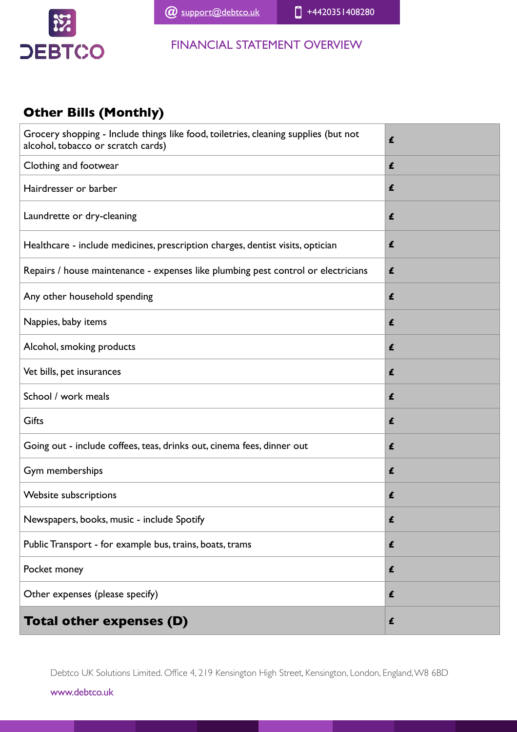

# **Other Bills (Monthly)**

| Grocery shopping - Include things like food, toiletries, cleaning supplies (but not<br>alcohol, tobacco or scratch cards) | £ |
|---------------------------------------------------------------------------------------------------------------------------|---|
| Clothing and footwear                                                                                                     | £ |
| Hairdresser or barber                                                                                                     | £ |
| Laundrette or dry-cleaning                                                                                                | £ |
| Healthcare - include medicines, prescription charges, dentist visits, optician                                            | £ |
| Repairs / house maintenance - expenses like plumbing pest control or electricians                                         | £ |
| Any other household spending                                                                                              | £ |
| Nappies, baby items                                                                                                       | £ |
| Alcohol, smoking products                                                                                                 | £ |
| Vet bills, pet insurances                                                                                                 | £ |
| School / work meals                                                                                                       | £ |
| Gifts                                                                                                                     | £ |
| Going out - include coffees, teas, drinks out, cinema fees, dinner out                                                    | £ |
| Gym memberships                                                                                                           | £ |
| Website subscriptions                                                                                                     | £ |
| Newspapers, books, music - include Spotify                                                                                | £ |
| Public Transport - for example bus, trains, boats, trams                                                                  | £ |
| Pocket money                                                                                                              | £ |
| Other expenses (please specify)                                                                                           | £ |
| <b>Total other expenses (D)</b>                                                                                           | £ |

Debtco UK Solutions Limited. Office 4, 219 Kensington High Street, Kensington, London, England, W8 6BD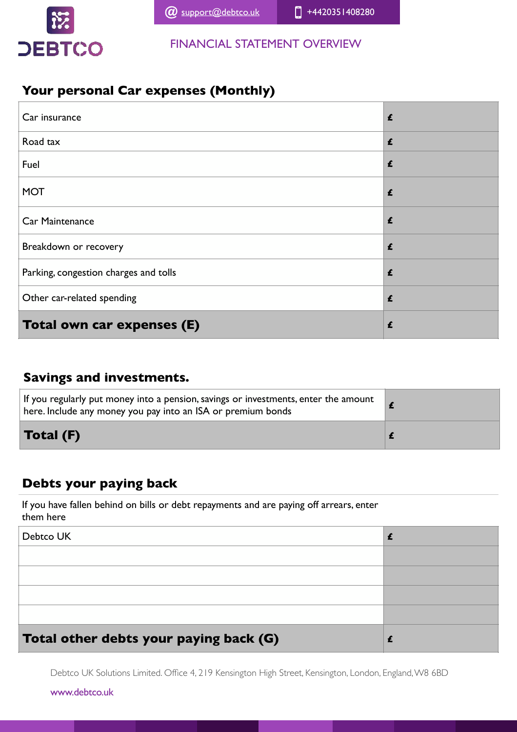

# **Your personal Car expenses (Monthly)**

| Car insurance                         | £ |
|---------------------------------------|---|
| Road tax                              | £ |
| Fuel                                  | £ |
| <b>MOT</b>                            | £ |
| Car Maintenance                       | £ |
| Breakdown or recovery                 | £ |
| Parking, congestion charges and tolls | £ |
| Other car-related spending            | £ |
| Total own car expenses (E)            | £ |

## **Savings and investments.**

| If you regularly put money into a pension, savings or investments, enter the amount<br>here. Include any money you pay into an ISA or premium bonds |  |
|-----------------------------------------------------------------------------------------------------------------------------------------------------|--|
| <b>Total (F)</b>                                                                                                                                    |  |

## **Debts your paying back**

If you have fallen behind on bills or debt repayments and are paying off arrears, enter them here

| Debtco UK                              |  |
|----------------------------------------|--|
|                                        |  |
|                                        |  |
|                                        |  |
|                                        |  |
| Total other debts your paying back (G) |  |

Debtco UK Solutions Limited. Office 4, 219 Kensington High Street, Kensington, London, England, W8 6BD

www.debtco.uk